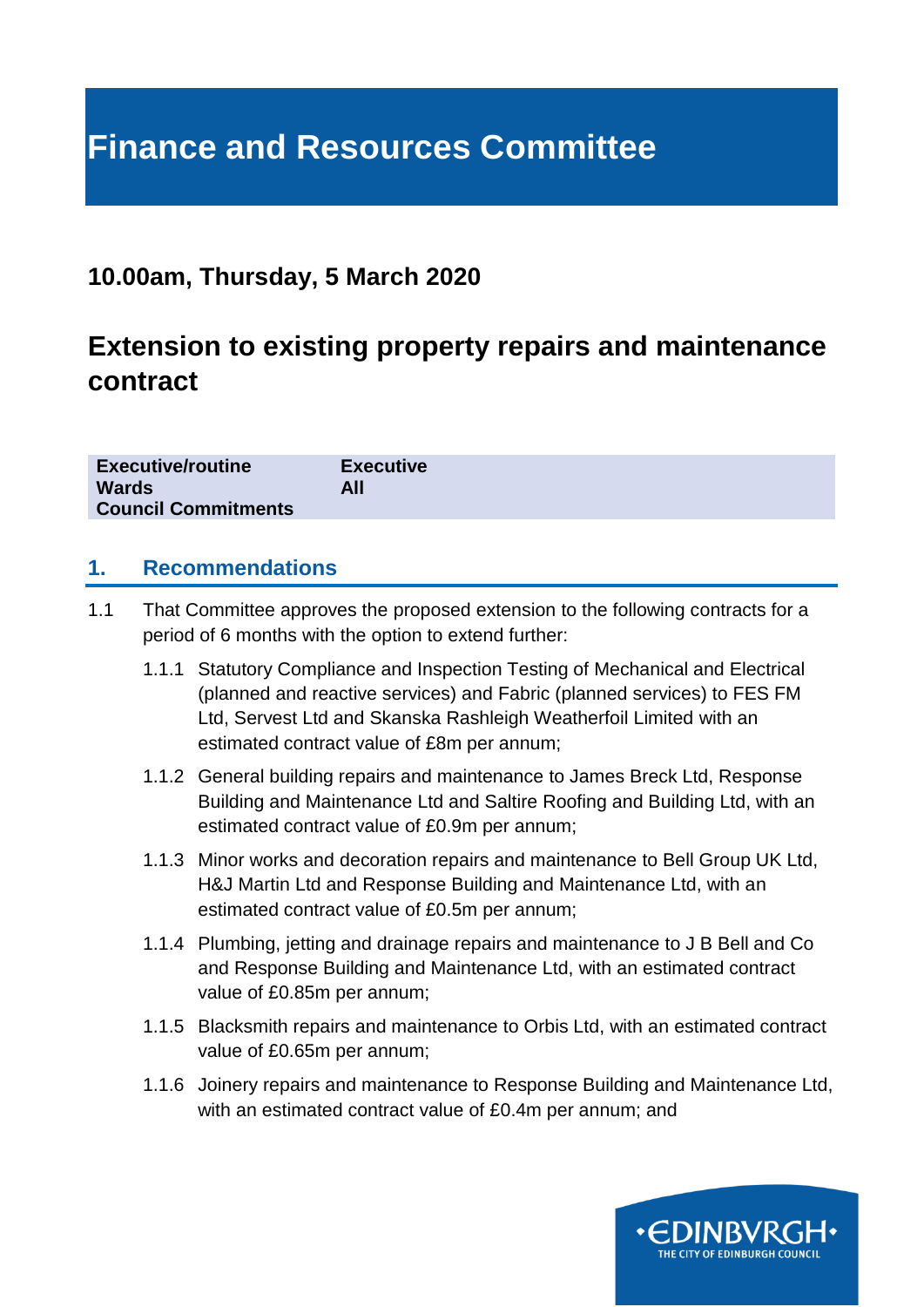# **Finance and Resources Committee**

### **10.00am, Thursday, 5 March 2020**

# **Extension to existing property repairs and maintenance contract**

| <b>Executive/routine</b>   | <b>Executive</b> |
|----------------------------|------------------|
| <b>Wards</b>               | All              |
| <b>Council Commitments</b> |                  |

#### **1. Recommendations**

- 1.1 That Committee approves the proposed extension to the following contracts for a period of 6 months with the option to extend further:
	- 1.1.1 Statutory Compliance and Inspection Testing of Mechanical and Electrical (planned and reactive services) and Fabric (planned services) to FES FM Ltd, Servest Ltd and Skanska Rashleigh Weatherfoil Limited with an estimated contract value of £8m per annum;
	- 1.1.2 General building repairs and maintenance to James Breck Ltd, Response Building and Maintenance Ltd and Saltire Roofing and Building Ltd, with an estimated contract value of £0.9m per annum;
	- 1.1.3 Minor works and decoration repairs and maintenance to Bell Group UK Ltd, H&J Martin Ltd and Response Building and Maintenance Ltd, with an estimated contract value of £0.5m per annum;
	- 1.1.4 Plumbing, jetting and drainage repairs and maintenance to J B Bell and Co and Response Building and Maintenance Ltd, with an estimated contract value of £0.85m per annum;
	- 1.1.5 Blacksmith repairs and maintenance to Orbis Ltd, with an estimated contract value of £0.65m per annum;
	- 1.1.6 Joinery repairs and maintenance to Response Building and Maintenance Ltd, with an estimated contract value of £0.4m per annum; and

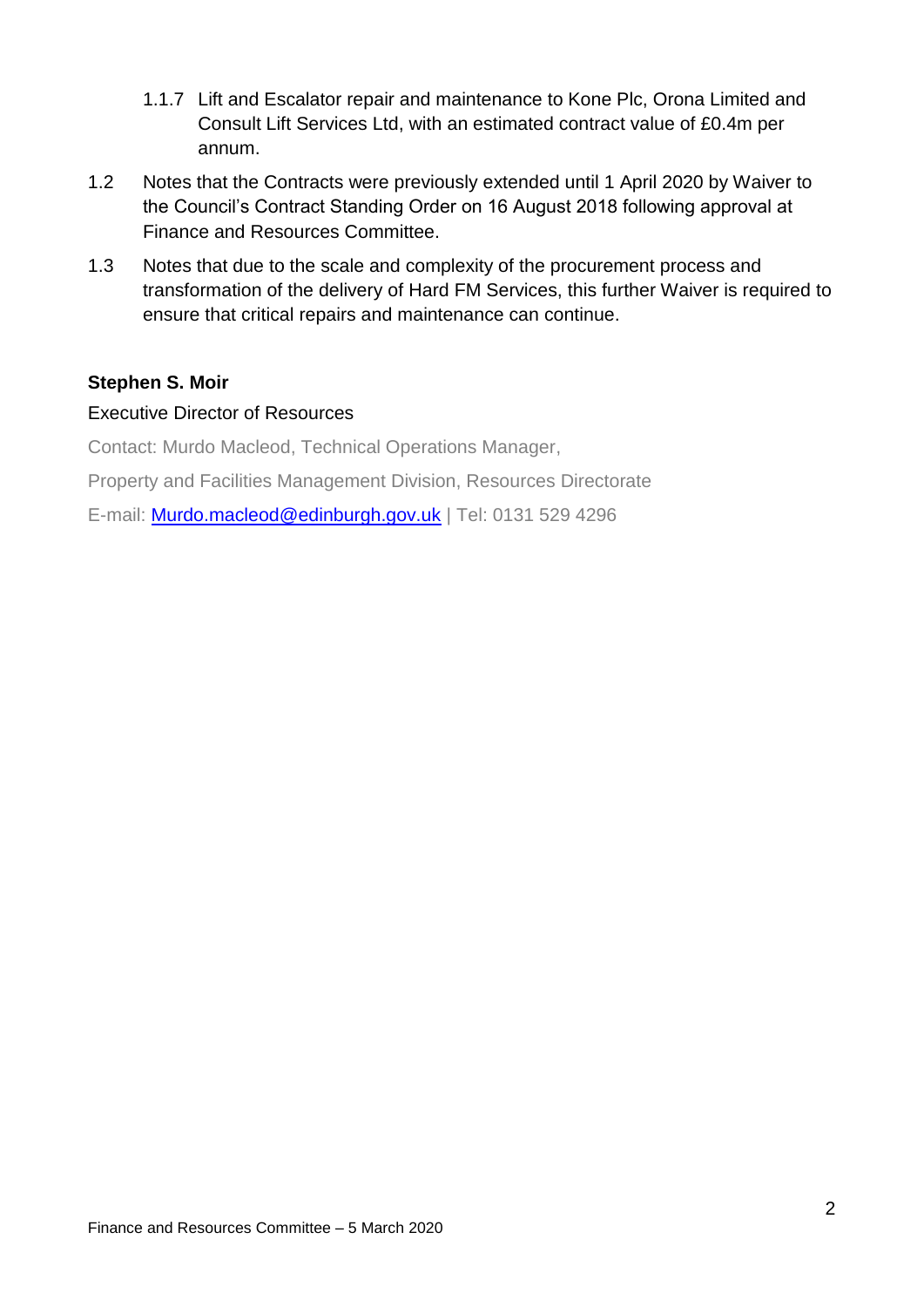- 1.1.7 Lift and Escalator repair and maintenance to Kone Plc, Orona Limited and Consult Lift Services Ltd, with an estimated contract value of £0.4m per annum.
- 1.2 Notes that the Contracts were previously extended until 1 April 2020 by Waiver to the Council's Contract Standing Order on 16 August 2018 following approval at Finance and Resources Committee.
- 1.3 Notes that due to the scale and complexity of the procurement process and transformation of the delivery of Hard FM Services, this further Waiver is required to ensure that critical repairs and maintenance can continue.

#### **Stephen S. Moir**

#### Executive Director of Resources

Contact: Murdo Macleod, Technical Operations Manager,

Property and Facilities Management Division, Resources Directorate

E-mail: [Murdo.macleod@edinburgh.gov.uk](mailto:Murdo.macleod@edinburgh.gov.uk) | Tel: 0131 529 4296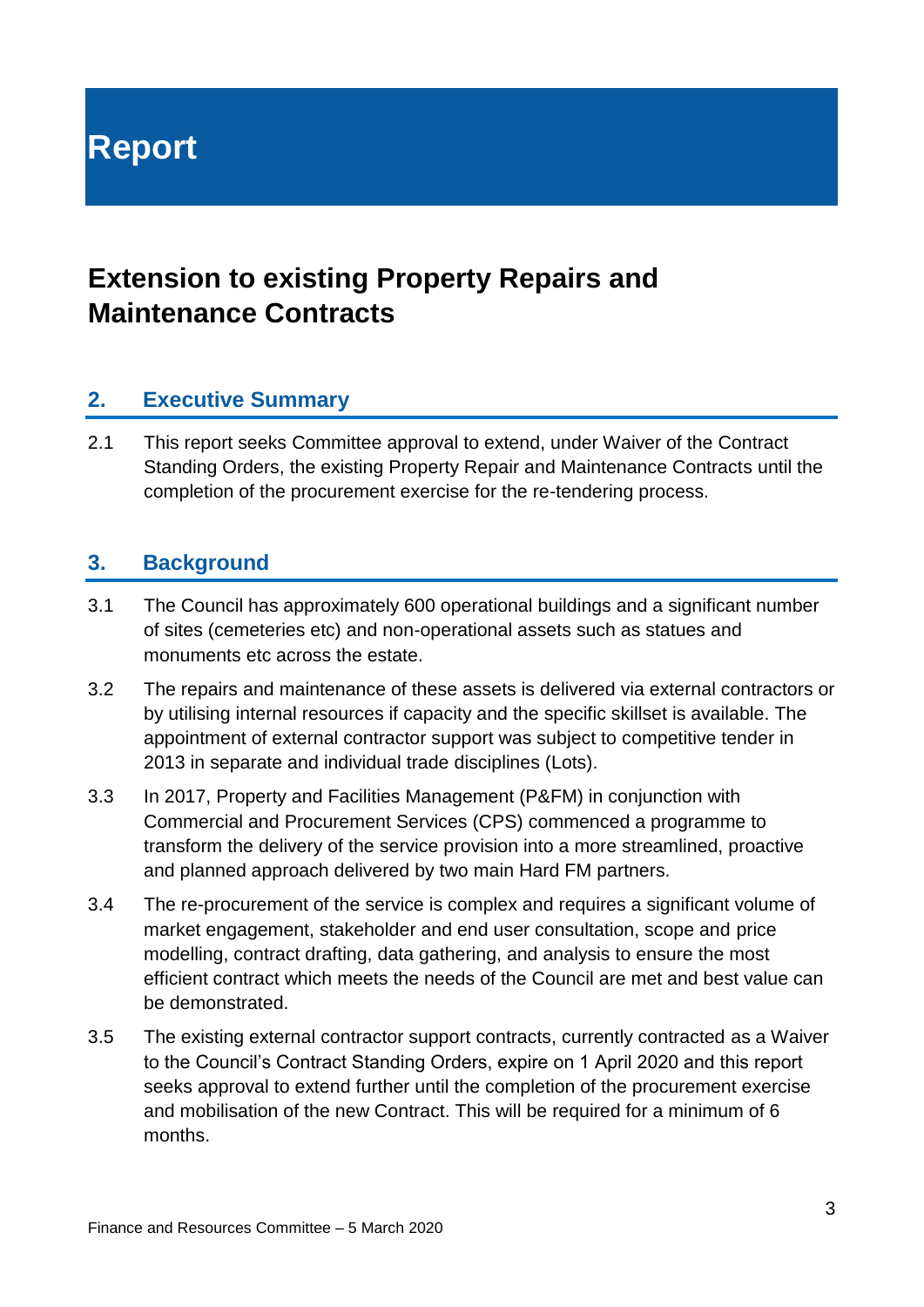**Report**

# **Extension to existing Property Repairs and Maintenance Contracts**

#### **2. Executive Summary**

2.1 This report seeks Committee approval to extend, under Waiver of the Contract Standing Orders, the existing Property Repair and Maintenance Contracts until the completion of the procurement exercise for the re-tendering process.

#### **3. Background**

- 3.1 The Council has approximately 600 operational buildings and a significant number of sites (cemeteries etc) and non-operational assets such as statues and monuments etc across the estate.
- 3.2 The repairs and maintenance of these assets is delivered via external contractors or by utilising internal resources if capacity and the specific skillset is available. The appointment of external contractor support was subject to competitive tender in 2013 in separate and individual trade disciplines (Lots).
- 3.3 In 2017, Property and Facilities Management (P&FM) in conjunction with Commercial and Procurement Services (CPS) commenced a programme to transform the delivery of the service provision into a more streamlined, proactive and planned approach delivered by two main Hard FM partners.
- 3.4 The re-procurement of the service is complex and requires a significant volume of market engagement, stakeholder and end user consultation, scope and price modelling, contract drafting, data gathering, and analysis to ensure the most efficient contract which meets the needs of the Council are met and best value can be demonstrated.
- 3.5 The existing external contractor support contracts, currently contracted as a Waiver to the Council's Contract Standing Orders, expire on 1 April 2020 and this report seeks approval to extend further until the completion of the procurement exercise and mobilisation of the new Contract. This will be required for a minimum of 6 months.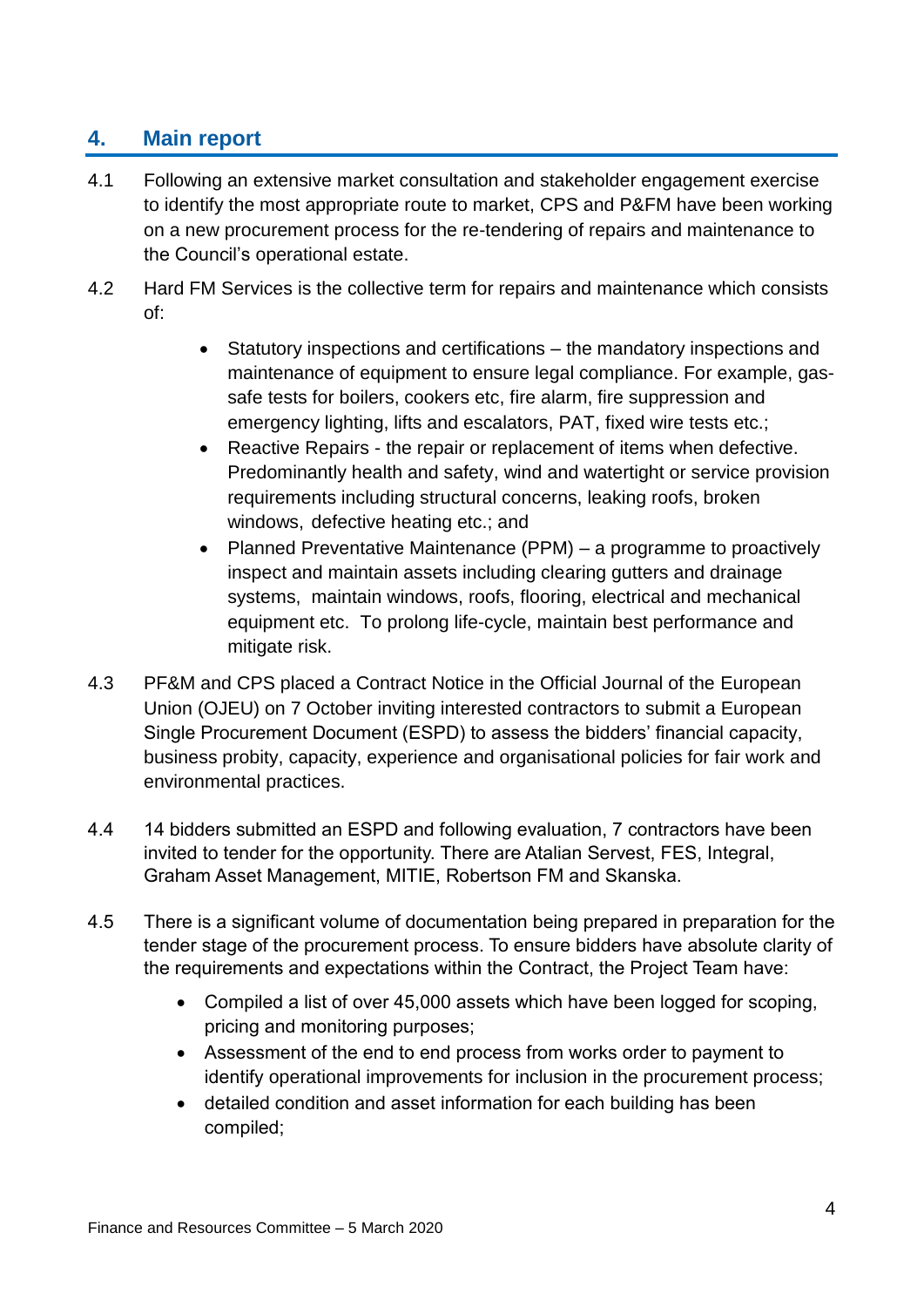### **4. Main report**

- 4.1 Following an extensive market consultation and stakeholder engagement exercise to identify the most appropriate route to market, CPS and P&FM have been working on a new procurement process for the re-tendering of repairs and maintenance to the Council's operational estate.
- 4.2 Hard FM Services is the collective term for repairs and maintenance which consists of:
	- Statutory inspections and certifications the mandatory inspections and maintenance of equipment to ensure legal compliance. For example, gassafe tests for boilers, cookers etc, fire alarm, fire suppression and emergency lighting, lifts and escalators, PAT, fixed wire tests etc.;
	- Reactive Repairs the repair or replacement of items when defective. Predominantly health and safety, wind and watertight or service provision requirements including structural concerns, leaking roofs, broken windows, defective heating etc.; and
	- Planned Preventative Maintenance (PPM) a programme to proactively inspect and maintain assets including clearing gutters and drainage systems, maintain windows, roofs, flooring, electrical and mechanical equipment etc. To prolong life-cycle, maintain best performance and mitigate risk.
- 4.3 PF&M and CPS placed a Contract Notice in the Official Journal of the European Union (OJEU) on 7 October inviting interested contractors to submit a European Single Procurement Document (ESPD) to assess the bidders' financial capacity, business probity, capacity, experience and organisational policies for fair work and environmental practices.
- 4.4 14 bidders submitted an ESPD and following evaluation, 7 contractors have been invited to tender for the opportunity. There are Atalian Servest, FES, Integral, Graham Asset Management, MITIE, Robertson FM and Skanska.
- 4.5 There is a significant volume of documentation being prepared in preparation for the tender stage of the procurement process. To ensure bidders have absolute clarity of the requirements and expectations within the Contract, the Project Team have:
	- Compiled a list of over 45,000 assets which have been logged for scoping, pricing and monitoring purposes;
	- Assessment of the end to end process from works order to payment to identify operational improvements for inclusion in the procurement process;
	- detailed condition and asset information for each building has been compiled;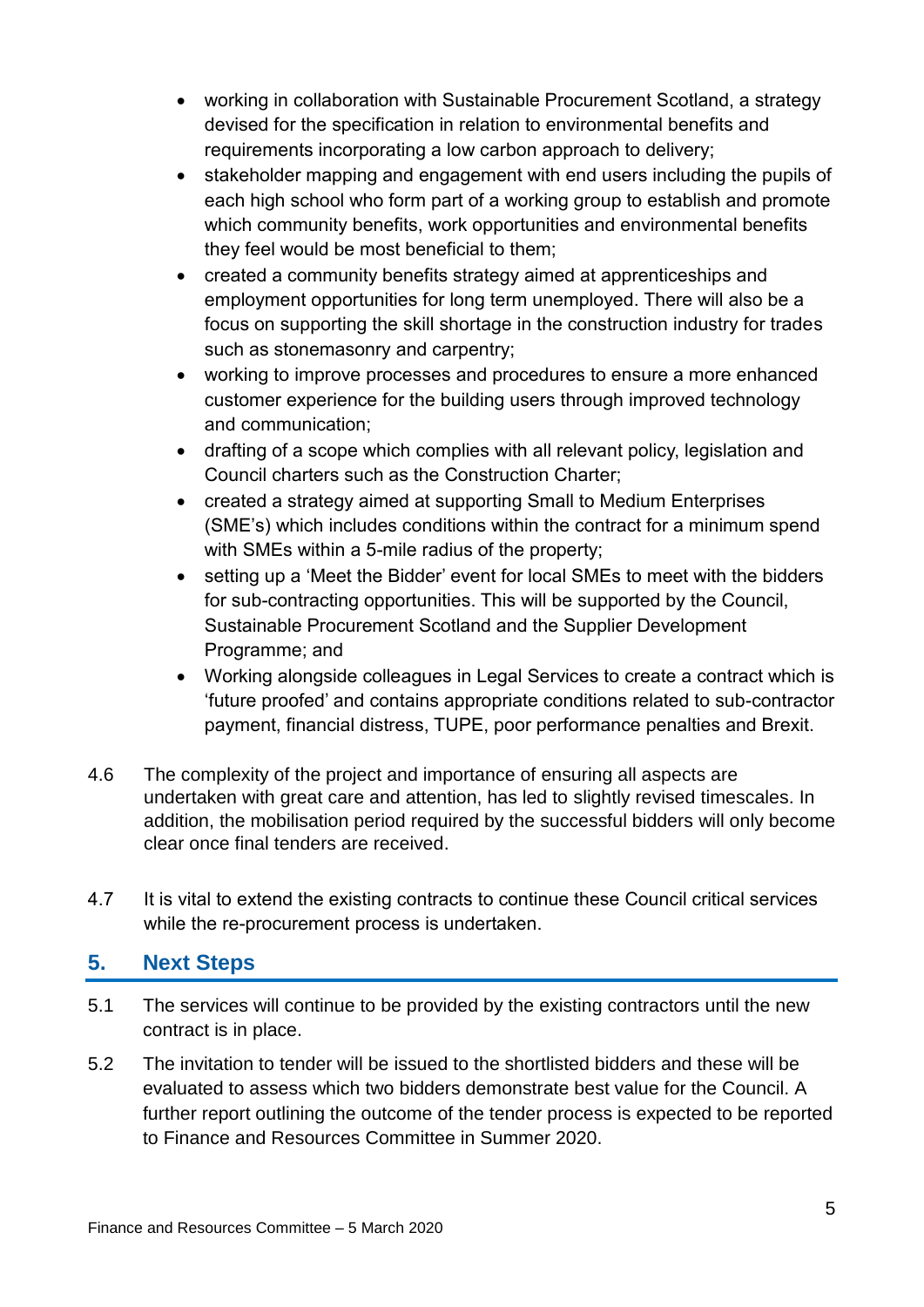- working in collaboration with Sustainable Procurement Scotland, a strategy devised for the specification in relation to environmental benefits and requirements incorporating a low carbon approach to delivery;
- stakeholder mapping and engagement with end users including the pupils of each high school who form part of a working group to establish and promote which community benefits, work opportunities and environmental benefits they feel would be most beneficial to them;
- created a community benefits strategy aimed at apprenticeships and employment opportunities for long term unemployed. There will also be a focus on supporting the skill shortage in the construction industry for trades such as stonemasonry and carpentry;
- working to improve processes and procedures to ensure a more enhanced customer experience for the building users through improved technology and communication;
- drafting of a scope which complies with all relevant policy, legislation and Council charters such as the Construction Charter;
- created a strategy aimed at supporting Small to Medium Enterprises (SME's) which includes conditions within the contract for a minimum spend with SMEs within a 5-mile radius of the property;
- setting up a 'Meet the Bidder' event for local SMEs to meet with the bidders for sub-contracting opportunities. This will be supported by the Council, Sustainable Procurement Scotland and the Supplier Development Programme; and
- Working alongside colleagues in Legal Services to create a contract which is 'future proofed' and contains appropriate conditions related to sub-contractor payment, financial distress, TUPE, poor performance penalties and Brexit.
- 4.6 The complexity of the project and importance of ensuring all aspects are undertaken with great care and attention, has led to slightly revised timescales. In addition, the mobilisation period required by the successful bidders will only become clear once final tenders are received.
- 4.7 It is vital to extend the existing contracts to continue these Council critical services while the re-procurement process is undertaken.

#### **5. Next Steps**

- 5.1 The services will continue to be provided by the existing contractors until the new contract is in place.
- 5.2 The invitation to tender will be issued to the shortlisted bidders and these will be evaluated to assess which two bidders demonstrate best value for the Council. A further report outlining the outcome of the tender process is expected to be reported to Finance and Resources Committee in Summer 2020.